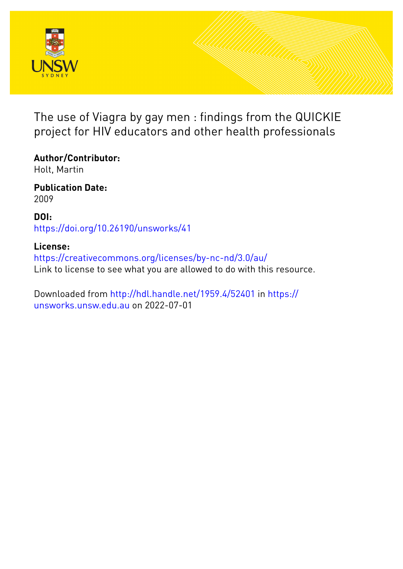

The use of Viagra by gay men : findings from the QUICKIE project for HIV educators and other health professionals

**Author/Contributor:** Holt, Martin

**Publication Date:** 2009

**DOI:** [https://doi.org/10.26190/unsworks/41](http://dx.doi.org/https://doi.org/10.26190/unsworks/41)

## **License:**

<https://creativecommons.org/licenses/by-nc-nd/3.0/au/> Link to license to see what you are allowed to do with this resource.

Downloaded from <http://hdl.handle.net/1959.4/52401> in [https://](https://unsworks.unsw.edu.au) [unsworks.unsw.edu.au](https://unsworks.unsw.edu.au) on 2022-07-01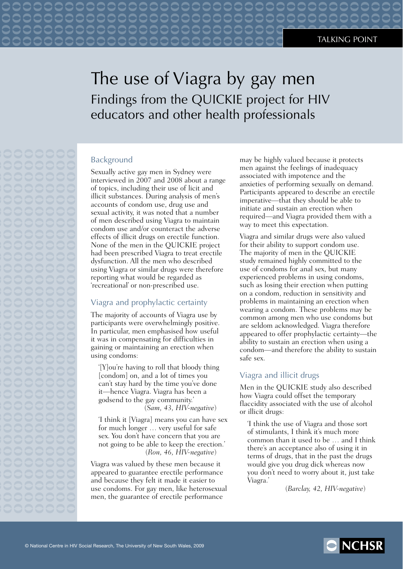# The use of Viagra by gay men Findings from the QUICKIE project for HIV educators and other health professionals

### Background

Sexually active gay men in Sydney were interviewed in 2007 and 2008 about a range of topics, including their use of licit and illicit substances. During analysis of men's accounts of condom use, drug use and sexual activity, it was noted that a number of men described using Viagra to maintain condom use and/or counteract the adverse effects of illicit drugs on erectile function. None of the men in the QUICKIE project had been prescribed Viagra to treat erectile dysfunction. All the men who described using Viagra or similar drugs were therefore reporting what would be regarded as 'recreational' or non-prescribed use.

 $\Box$ 

COO

### Viagra and prophylactic certainty

The majority of accounts of Viagra use by participants were overwhelmingly positive. In particular, men emphasised how useful it was in compensating for difficulties in gaining or maintaining an erection when using condoms:

'[Y]ou're having to roll that bloody thing [condom] on, and a lot of times you can't stay hard by the time you've done it—hence Viagra. Viagra has been a godsend to the gay community.' (*Sam, 43, HIV-negative*)

'I think it [Viagra] means you can have sex for much longer … very useful for safe sex. You don't have concern that you are not going to be able to keep the erection.' (*Ron, 46, HIV-negative*)

Viagra was valued by these men because it appeared to guarantee erectile performance and because they felt it made it easier to use condoms. For gay men, like heterosexual men, the guarantee of erectile performance

may be highly valued because it protects men against the feelings of inadequacy associated with impotence and the anxieties of performing sexually on demand. Participants appeared to describe an erectile imperative—that they should be able to initiate and sustain an erection when required—and Viagra provided them with a way to meet this expectation.

Viagra and similar drugs were also valued for their ability to support condom use. The majority of men in the QUICKIE study remained highly committed to the use of condoms for anal sex, but many experienced problems in using condoms, such as losing their erection when putting on a condom, reduction in sensitivity and problems in maintaining an erection when wearing a condom. These problems may be common among men who use condoms but are seldom acknowledged. Viagra therefore appeared to offer prophylactic certainty—the ability to sustain an erection when using a condom—and therefore the ability to sustain safe sex.

#### Viagra and illicit drugs

Men in the QUICKIE study also described how Viagra could offset the temporary flaccidity associated with the use of alcohol or illicit drugs:

'I think the use of Viagra and those sort of stimulants, I think it's much more common than it used to be … and I think there's an acceptance also of using it in terms of drugs, that in the past the drugs would give you drug dick whereas now you don't need to worry about it, just take Viagra.'

(*Barclay, 42, HIV-negative*)